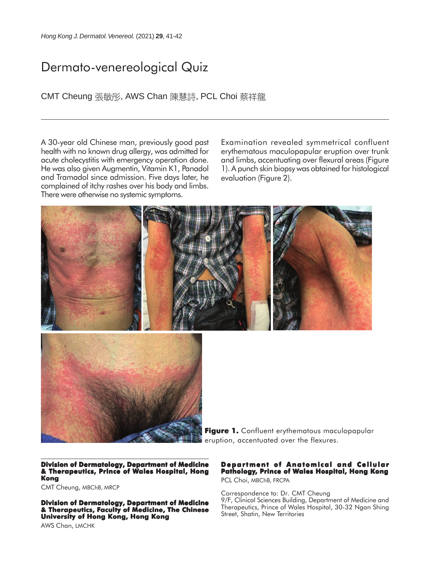## Dermato-venereological Quiz

CMT Cheung 張敏彤, AWS Chan 陳慧詩, PCL Choi 蔡祥龍

A 30-year old Chinese man, previously good past health with no known drug allergy, was admitted for acute cholecystitis with emergency operation done. He was also given Augmentin, Vitamin K1, Panadol and Tramadol since admission. Five days later, he complained of itchy rashes over his body and limbs. There were otherwise no systemic symptoms.

Examination revealed symmetrical confluent erythematous maculopapular eruption over trunk and limbs, accentuating over flexural areas (Figure 1). A punch skin biopsy was obtained for histological evaluation (Figure 2).





**Figure 1. Figure 1.** Confluent erythematous maculopapular eruption, accentuated over the flexures.

**Division of Dermatology, Department of Medicine & Therapeutics, Prince of Wales Hospital, Hong Kong**

CMT Cheung, MBChB, MRCP

**Division of Dermatology, Department of Medicine & Therapeutics, Faculty of Medicine, The Chinese University of Hong Kong, Hong Kong**

#### **Department of Anatomical and Cellular Pathology, Prince of Wales Hospital, Hong Kong**

PCL Choi, MBChB, FRCPA

Correspondence to: Dr. CMT Cheung 9/F, Clinical Sciences Building, Department of Medicine and Therapeutics, Prince of Wales Hospital, 30-32 Ngan Shing Street, Shatin, New Territories

AWS Chan, LMCHK